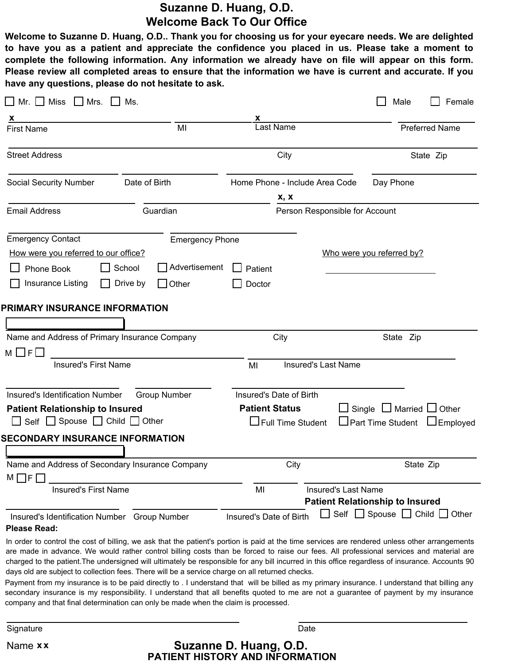## **Suzanne D. Huang, O.D. Welcome Back To Our Office**

Welcome to Suzanne D. Huang, O.D.. Thank you for choosing us for your eyecare needs. We are delighted to have you as a patient and appreciate the confidence you placed in us. Please take a moment to **complete the following information. Any information we already have on file will appear on this form.** Please review all completed areas to ensure that the information we have is current and accurate. If you **have any questions, please do not hesitate to ask.**

| Mr. $\Box$ Miss $\Box$ Mrs.                                                                                                                                                                                           | Ms.                                                                                  |                                                                              |                                | Male                                                                 | Female                |
|-----------------------------------------------------------------------------------------------------------------------------------------------------------------------------------------------------------------------|--------------------------------------------------------------------------------------|------------------------------------------------------------------------------|--------------------------------|----------------------------------------------------------------------|-----------------------|
| <b>First Name</b>                                                                                                                                                                                                     | MI                                                                                   | <b>Last Name</b>                                                             |                                |                                                                      | <b>Preferred Name</b> |
| <b>Street Address</b>                                                                                                                                                                                                 |                                                                                      | City                                                                         |                                |                                                                      | State Zip             |
| <b>Social Security Number</b>                                                                                                                                                                                         | Date of Birth                                                                        | Home Phone - Include Area Code                                               |                                | Day Phone                                                            |                       |
| <b>Email Address</b>                                                                                                                                                                                                  | Guardian                                                                             | x, x                                                                         | Person Responsible for Account |                                                                      |                       |
| <b>Emergency Contact</b><br>How were you referred to our office?<br>Phone Book<br>Insurance Listing<br>PRIMARY INSURANCE INFORMATION                                                                                  | <b>Emergency Phone</b><br>Advertisement<br>School<br>$\Box$ Drive by<br>$\Box$ Other | Patient<br>Doctor                                                            |                                | Who were you referred by?                                            |                       |
| Name and Address of Primary Insurance Company                                                                                                                                                                         |                                                                                      | City                                                                         |                                | State Zip                                                            |                       |
| $M \Box F$<br><b>Insured's First Name</b>                                                                                                                                                                             |                                                                                      | MI                                                                           | <b>Insured's Last Name</b>     |                                                                      |                       |
| Insured's Identification Number<br><b>Patient Relationship to Insured</b><br>$\Box$ Self $\Box$ Spouse $\Box$ Child $\Box$ Other<br><b>SECONDARY INSURANCE INFORMATION</b>                                            | <b>Group Number</b>                                                                  | Insured's Date of Birth<br><b>Patient Status</b><br>$\Box$ Full Time Student |                                | Single $\Box$ Married $\Box$ Other<br>□ Part Time Student □ Employed |                       |
| Name and Address of Secondary Insurance Company<br>$M \Box F$ $\Box$                                                                                                                                                  |                                                                                      | City                                                                         |                                | State Zip                                                            |                       |
| <b>Insured's First Name</b>                                                                                                                                                                                           |                                                                                      | MI                                                                           | <b>Insured's Last Name</b>     | <b>Patient Relationship to Insured</b>                               |                       |
| Insured's Identification Number Group Number<br><b>Please Read:</b><br>In order to control the cost of billing, we ask that the patient's portion is paid at the time services are rendered unless other arrangements |                                                                                      | Insured's Date of Birth                                                      |                                | $\Box$ Self $\Box$ Spouse $\Box$ Child $\Box$ Other                  |                       |
|                                                                                                                                                                                                                       |                                                                                      |                                                                              |                                |                                                                      |                       |

are made in advance. We would rather control billing costs than be forced to raise our fees. All professional services and material are charged to the patient.The undersigned will ultimately be responsible for any bill incurred in this office regardless of insurance. Accounts 90 days old are subject to collection fees. There will be a service charge on all returned checks.

Payment from my insurance is to be paid directly to . I understand that will be billed as my primary insurance. I understand that billing any secondary insurance is my responsibility. I understand that all benefits quoted to me are not a guarantee of payment by my insurance company and that final determination can only be made when the claim is processed.

Signature Date Date of the Contract of the Contract of the Contract of the Date Date Date

**PATIENT HISTORY AND INFORMATION** Name **x x Suzanne D. Huang, O.D.**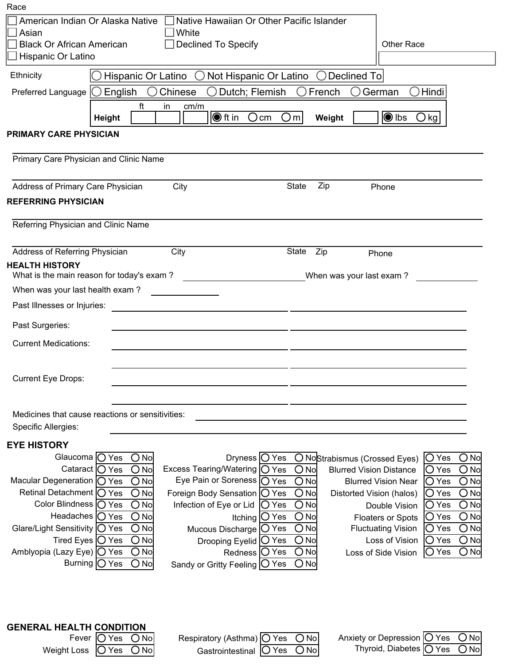| Race                                                 |                                                        |                                |                                                     |                                |                                                                          |
|------------------------------------------------------|--------------------------------------------------------|--------------------------------|-----------------------------------------------------|--------------------------------|--------------------------------------------------------------------------|
| American Indian Or Alaska Native                     |                                                        |                                | Native Hawaiian Or Other Pacific Islander           |                                |                                                                          |
| White<br>Asian                                       |                                                        |                                |                                                     |                                |                                                                          |
| <b>Black Or African American</b>                     |                                                        | <b>Declined To Specify</b>     |                                                     |                                | <b>Other Race</b>                                                        |
| Hispanic Or Latino                                   |                                                        |                                |                                                     |                                |                                                                          |
| Ethnicity                                            | Hispanic Or Latino                                     |                                | Not Hispanic Or Latino                              | Declined To                    |                                                                          |
| Preferred Language                                   | $\left(\begin{array}{c} \end{array}\right)$<br>English | Chinese                        | Dutch; Flemish<br>$\Box$                            | French                         | Hindi<br>German                                                          |
|                                                      | ft                                                     | in<br>cm/m                     |                                                     |                                |                                                                          |
|                                                      | Height                                                 | $\bigcirc$ ft in               | $\bigcirc$ m<br>Ocm                                 | Weight                         | $\bigcirc$ lbs<br>$\bigcirc$ kg                                          |
| <b>PRIMARY CARE PHYSICIAN</b>                        |                                                        |                                |                                                     |                                |                                                                          |
|                                                      |                                                        |                                |                                                     |                                |                                                                          |
| Primary Care Physician and Clinic Name               |                                                        |                                |                                                     |                                |                                                                          |
|                                                      |                                                        |                                |                                                     |                                |                                                                          |
| Address of Primary Care Physician                    |                                                        | City                           | <b>State</b>                                        | Zip                            | Phone                                                                    |
| <b>REFERRING PHYSICIAN</b>                           |                                                        |                                |                                                     |                                |                                                                          |
|                                                      |                                                        |                                |                                                     |                                |                                                                          |
| Referring Physician and Clinic Name                  |                                                        |                                |                                                     |                                |                                                                          |
| Address of Referring Physician                       |                                                        | City                           | State                                               | Zip<br>Phone                   |                                                                          |
| <b>HEALTH HISTORY</b>                                |                                                        |                                |                                                     |                                |                                                                          |
| What is the main reason for today's exam?            |                                                        |                                |                                                     | When was your last exam?       |                                                                          |
| When was your last health exam?                      |                                                        |                                |                                                     |                                |                                                                          |
| Past Illnesses or Injuries:                          |                                                        |                                |                                                     |                                |                                                                          |
|                                                      |                                                        |                                |                                                     |                                |                                                                          |
| Past Surgeries:                                      |                                                        |                                |                                                     |                                |                                                                          |
| <b>Current Medications:</b>                          |                                                        |                                |                                                     |                                |                                                                          |
|                                                      |                                                        |                                |                                                     |                                |                                                                          |
| <b>Current Eye Drops:</b>                            |                                                        |                                |                                                     |                                |                                                                          |
|                                                      |                                                        |                                |                                                     |                                |                                                                          |
|                                                      |                                                        |                                |                                                     |                                |                                                                          |
| Medicines that cause reactions or sensitivities:     |                                                        |                                |                                                     |                                |                                                                          |
| Specific Allergies:                                  |                                                        |                                |                                                     |                                |                                                                          |
| <b>EYE HISTORY</b>                                   |                                                        |                                |                                                     |                                |                                                                          |
|                                                      | Glaucoma   ○ Yes<br>$O$ No                             |                                | Dryness $\bigcirc$ Yes                              | O NoStrabismus (Crossed Eyes)  | O Yes<br>$O$ No                                                          |
|                                                      | Cataract $\bigcirc$ Yes<br>$O$ No                      | <b>Excess Tearing/Watering</b> | IO Yes<br>$\bigcirc$ No                             | <b>Blurred Vision Distance</b> | $\bigcirc$ No<br>$\bigcirc$ Yes                                          |
| Macular Degeneration   O Yes                         | $O$ No                                                 | Eye Pain or Soreness           | $\bigcirc$ Yes<br>$O$ No                            |                                | $O$ No<br><b>Blurred Vision Near</b><br>O Yes                            |
| Retinal Detachment  ○ Yes<br>Color Blindness   O Yes | $O$ No<br>$O$ No                                       | Foreign Body Sensation         | ∣O Yes<br>$O$ No                                    | Distorted Vision (halos)       | $O$ No<br>O Yes                                                          |
| Headaches   O Yes                                    | $O$ No                                                 | Infection of Eye or Lid        | $\bigcirc$ No<br> O Yes<br>$O$ No<br>$\bigcirc$ Yes |                                | $O$ No<br>$\bigcirc$ Yes<br>Double Vision<br>$O$ No<br>O Yes             |
| Glare/Light Sensitivity   O Yes                      | $O$ No                                                 | Mucous Discharge               | Itching<br>$O$ No<br>O Yes                          |                                | <b>Floaters or Spots</b><br>$O$ No<br><b>Fluctuating Vision</b><br>O Yes |
| Tired Eyes $\bigcirc$ Yes                            | $O$ No                                                 | Drooping Eyelid   O Yes        | $O$ No                                              |                                | $\bigcirc$ No<br>Loss of Vision<br>$\bigcirc$ Yes                        |
| Amblyopia (Lazy Eye)   O Yes                         | $O$ No                                                 |                                | $O$ No<br>Redness   O Yes                           |                                | $O$ No<br>O Yes<br>Loss of Side Vision                                   |
|                                                      | Burning  ◯ Yes<br>$\bigcirc$ No                        | Sandy or Gritty Feeling  O Yes | $\bigcirc$ No                                       |                                |                                                                          |
|                                                      |                                                        |                                |                                                     |                                |                                                                          |
|                                                      |                                                        |                                |                                                     |                                |                                                                          |
|                                                      |                                                        |                                |                                                     |                                |                                                                          |
|                                                      |                                                        |                                |                                                     |                                |                                                                          |
| <b>GENERAL HEALTH CONDITION</b>                      | Fever  ○ Yes<br>$O$ No                                 | Respiratory (Asthma)   O Yes   | $O$ No                                              |                                | Anxiety or Depression $ O \rangle$ Yes<br>$O$ No                         |
| <b>Weight Loss</b>                                   | $O$ No<br>IO Yes                                       | Gastrointestinal               | $O$ No<br> O Yes                                    |                                | Thyroid, Diabetes  ○ Yes<br>$O$ No                                       |

|                              | LEAGLITIES (JIAOL | <b>Respiratory (AStriffia) IO YES UNO.</b> |  | <b>ATIXIBIY OF DEPIRSSION</b> |
|------------------------------|-------------------|--------------------------------------------|--|-------------------------------|
| Weight Loss $ O$ Yes $ O$ No |                   | Gastrointestinal $ O$ Yes $ O$ No          |  | <b>Thyroid, Diabetes</b>      |

| Yes ONol                  | Anxiety or Depression   O Yes O No |  |
|---------------------------|------------------------------------|--|
| Yes $\bigcirc$ No $\big $ | Thyroid, Diabetes O Yes O No       |  |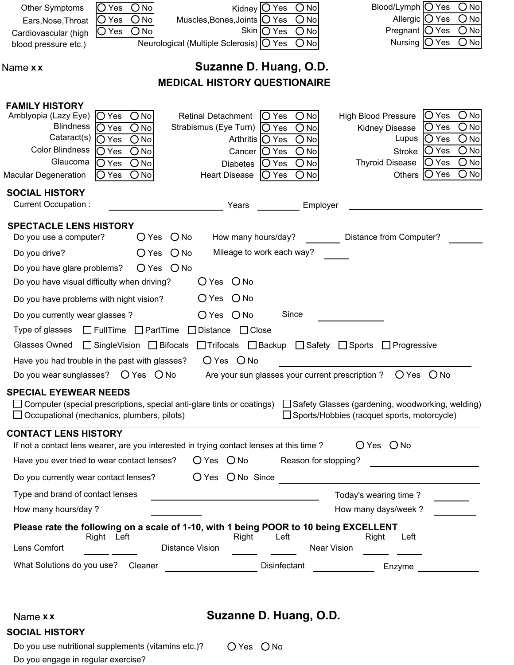| <b>Other Symptoms</b><br>Ears, Nose, Throat                                                                                                                                    | $O$ No<br>$\bigcirc$ Yes<br>$\bigcirc$ Yes<br>$O$ No                                                                                           | Kidney $ O$ Yes<br>Muscles, Bones, Joints   O Yes                                                                                                  | $O$ No<br>$O$ No                                                                      | Blood/Lymph $\bigcirc$ Yes<br>Allergic $\bigcirc$ Yes                                                                                                                          | $O$ No<br>$O$ No                                         |
|--------------------------------------------------------------------------------------------------------------------------------------------------------------------------------|------------------------------------------------------------------------------------------------------------------------------------------------|----------------------------------------------------------------------------------------------------------------------------------------------------|---------------------------------------------------------------------------------------|--------------------------------------------------------------------------------------------------------------------------------------------------------------------------------|----------------------------------------------------------|
| Cardiovascular (high                                                                                                                                                           | $O$ No<br>O Yes                                                                                                                                | Skin $\bigcirc$ Yes                                                                                                                                | $O$ No                                                                                | Pregnant $\bigcirc$ Yes                                                                                                                                                        | $O$ No                                                   |
| blood pressure etc.)                                                                                                                                                           |                                                                                                                                                | Neurological (Multiple Sclerosis) O Yes                                                                                                            | $O$ No                                                                                | Nursing $\bigcirc$ Yes                                                                                                                                                         | $\bigcirc$ No                                            |
| Name x x                                                                                                                                                                       |                                                                                                                                                | Suzanne D. Huang, O.D.                                                                                                                             |                                                                                       |                                                                                                                                                                                |                                                          |
|                                                                                                                                                                                |                                                                                                                                                | <b>MEDICAL HISTORY QUESTIONAIRE</b>                                                                                                                |                                                                                       |                                                                                                                                                                                |                                                          |
| <b>FAMILY HISTORY</b><br>Amblyopia (Lazy Eye)<br><b>Blindness</b><br>Cataract(s)<br><b>Color Blindness</b><br>Glaucoma<br><b>Macular Degeneration</b><br><b>SOCIAL HISTORY</b> | $O$ No<br>$\overline{O}$ Yes<br>$O$ No<br>O Yes<br>$O$ No<br>$\bigcirc$ Yes<br>$O$ No<br>$\bigcirc$ Yes<br>$O$ No<br>O Yes<br>$O$ No<br> O Yes | <b>Retinal Detachment</b><br>Strabismus (Eye Turn)   O Yes<br>Arthritis  ◯ Yes<br>Cancer   O Yes<br><b>Diabetes</b><br>( )<br><b>Heart Disease</b> | $O$ No<br>$ O$ Yes<br>$O$ No<br>$O$ No<br>$O$ No<br>$O$ No<br>Yes<br>$O$ No<br>IO Yes | IO Yes<br><b>High Blood Pressure</b><br><b>O</b> Yes<br>Kidney Disease<br>Lupus<br>IO Yes<br>IO Yes<br><b>Stroke</b><br> O Yes<br><b>Thyroid Disease</b><br>$ O$ Yes<br>Others | $O$ No<br>$O$ No<br>$O$ No<br>$O$ No<br>$O$ No<br>$O$ No |
| Current Occupation:                                                                                                                                                            |                                                                                                                                                | Years                                                                                                                                              | Employer                                                                              |                                                                                                                                                                                |                                                          |
| <b>SPECTACLE LENS HISTORY</b><br>Do you use a computer?                                                                                                                        | $O$ Yes $O$ No                                                                                                                                 | How many hours/day?                                                                                                                                |                                                                                       | Distance from Computer?                                                                                                                                                        |                                                          |
| Do you drive?                                                                                                                                                                  | $\bigcirc$ Yes<br>$O$ No                                                                                                                       | Mileage to work each way?                                                                                                                          |                                                                                       |                                                                                                                                                                                |                                                          |
| Do you have glare problems?<br>Do you have visual difficulty when driving?                                                                                                     | $O Yes$ $O No$                                                                                                                                 | $O$ Yes $O$ No                                                                                                                                     |                                                                                       |                                                                                                                                                                                |                                                          |
| Do you have problems with night vision?                                                                                                                                        |                                                                                                                                                | $O$ Yes $O$ No                                                                                                                                     |                                                                                       |                                                                                                                                                                                |                                                          |
| Do you currently wear glasses ?                                                                                                                                                |                                                                                                                                                | $O$ Yes $O$ No                                                                                                                                     | Since                                                                                 |                                                                                                                                                                                |                                                          |
| Type of glasses                                                                                                                                                                | $\Box$ FullTime $\Box$ PartTime                                                                                                                | $\Box$ Distance $\Box$ Close                                                                                                                       |                                                                                       |                                                                                                                                                                                |                                                          |
| Glasses Owned                                                                                                                                                                  | $\Box$ SingleVision $\Box$ Bifocals $\Box$ Trifocals $\Box$ Backup $\Box$ Safety $\Box$ Sports                                                 |                                                                                                                                                    |                                                                                       | $\Box$ Progressive                                                                                                                                                             |                                                          |
| Have you had trouble in the past with glasses?                                                                                                                                 |                                                                                                                                                | $O$ Yes $O$ No                                                                                                                                     |                                                                                       |                                                                                                                                                                                |                                                          |
| Do you wear sunglasses?                                                                                                                                                        | O Yes O No                                                                                                                                     | Are your sun glasses your current prescription?                                                                                                    |                                                                                       | $O$ No<br>$\bigcirc$ Yes                                                                                                                                                       |                                                          |
| <b>SPECIAL EYEWEAR NEEDS</b><br>$\Box$ Computer (special prescriptions, special anti-glare tints or coatings)<br>$\Box$ Occupational (mechanics, plumbers, pilots)             |                                                                                                                                                |                                                                                                                                                    |                                                                                       | □ Safety Glasses (gardening, woodworking, welding)<br>$\Box$ Sports/Hobbies (racquet sports, motorcycle)                                                                       |                                                          |
| <b>CONTACT LENS HISTORY</b>                                                                                                                                                    |                                                                                                                                                |                                                                                                                                                    |                                                                                       |                                                                                                                                                                                |                                                          |
| If not a contact lens wearer, are you interested in trying contact lenses at this time?                                                                                        |                                                                                                                                                |                                                                                                                                                    |                                                                                       | $O Yes$ $O No$                                                                                                                                                                 |                                                          |
| Have you ever tried to wear contact lenses?                                                                                                                                    |                                                                                                                                                | $O$ Yes $O$ No Reason for stopping?                                                                                                                |                                                                                       | <u> 1990 - Johann Barbara, martin a</u>                                                                                                                                        |                                                          |
|                                                                                                                                                                                |                                                                                                                                                |                                                                                                                                                    |                                                                                       |                                                                                                                                                                                |                                                          |
| Type and brand of contact lenses                                                                                                                                               |                                                                                                                                                | <u> 1989 - Johann Barbara, martxa amerikan personal (</u>                                                                                          |                                                                                       | Today's wearing time?                                                                                                                                                          |                                                          |
| How many hours/day ?                                                                                                                                                           |                                                                                                                                                |                                                                                                                                                    |                                                                                       | How many days/week ?                                                                                                                                                           |                                                          |
| Please rate the following on a scale of 1-10, with 1 being POOR to 10 being EXCELLENT<br>Lens Comfort                                                                          | Right Left<br><b>Distance Vision</b>                                                                                                           | Right                                                                                                                                              | Left<br>Near Vision                                                                   | Right<br>Left                                                                                                                                                                  |                                                          |
| What Solutions do you use? Cleaner                                                                                                                                             |                                                                                                                                                |                                                                                                                                                    | Disinfectant                                                                          | Enzyme                                                                                                                                                                         |                                                          |
|                                                                                                                                                                                |                                                                                                                                                |                                                                                                                                                    |                                                                                       |                                                                                                                                                                                |                                                          |

| - - - - - - - - |                       |
|-----------------|-----------------------|
|                 | <b>SOCIAL HISTORY</b> |

Name **x x Suzanne D. Huang, O.D.**

O Yes O No

Do you use nutritional supplements (vitamins etc.)? Do you engage in regular exercise?